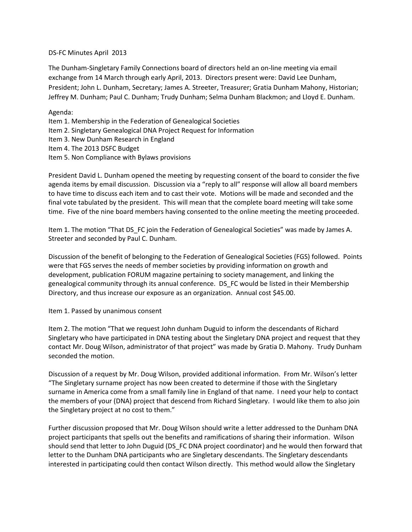## DS-FC Minutes April 2013

The Dunham-Singletary Family Connections board of directors held an on-line meeting via email exchange from 14 March through early April, 2013. Directors present were: David Lee Dunham, President; John L. Dunham, Secretary; James A. Streeter, Treasurer; Gratia Dunham Mahony, Historian; Jeffrey M. Dunham; Paul C. Dunham; Trudy Dunham; Selma Dunham Blackmon; and Lloyd E. Dunham.

Agenda:

- Item 1. Membership in the Federation of Genealogical Societies
- Item 2. Singletary Genealogical DNA Project Request for Information
- Item 3. New Dunham Research in England
- Item 4. The 2013 DSFC Budget
- Item 5. Non Compliance with Bylaws provisions

President David L. Dunham opened the meeting by requesting consent of the board to consider the five agenda items by email discussion. Discussion via a "reply to all" response will allow all board members to have time to discuss each item and to cast their vote. Motions will be made and seconded and the final vote tabulated by the president. This will mean that the complete board meeting will take some time. Five of the nine board members having consented to the online meeting the meeting proceeded.

Item 1. The motion "That DS FC join the Federation of Genealogical Societies" was made by James A. Streeter and seconded by Paul C. Dunham.

Discussion of the benefit of belonging to the Federation of Genealogical Societies (FGS) followed. Points were that FGS serves the needs of member societies by providing information on growth and development, publication FORUM magazine pertaining to society management, and linking the genealogical community through its annual conference. DS\_FC would be listed in their Membership Directory, and thus increase our exposure as an organization. Annual cost \$45.00.

Item 1. Passed by unanimous consent

Item 2. The motion "That we request John dunham Duguid to inform the descendants of Richard Singletary who have participated in DNA testing about the Singletary DNA project and request that they contact Mr. Doug Wilson, administrator of that project" was made by Gratia D. Mahony. Trudy Dunham seconded the motion.

Discussion of a request by Mr. Doug Wilson, provided additional information. From Mr. Wilson's letter "The Singletary surname project has now been created to determine if those with the Singletary surname in America come from a small family line in England of that name. I need your help to contact the members of your (DNA) project that descend from Richard Singletary. I would like them to also join the Singletary project at no cost to them."

Further discussion proposed that Mr. Doug Wilson should write a letter addressed to the Dunham DNA project participants that spells out the benefits and ramifications of sharing their information. Wilson should send that letter to John Duguid (DS\_FC DNA project coordinator) and he would then forward that letter to the Dunham DNA participants who are Singletary descendants. The Singletary descendants interested in participating could then contact Wilson directly. This method would allow the Singletary